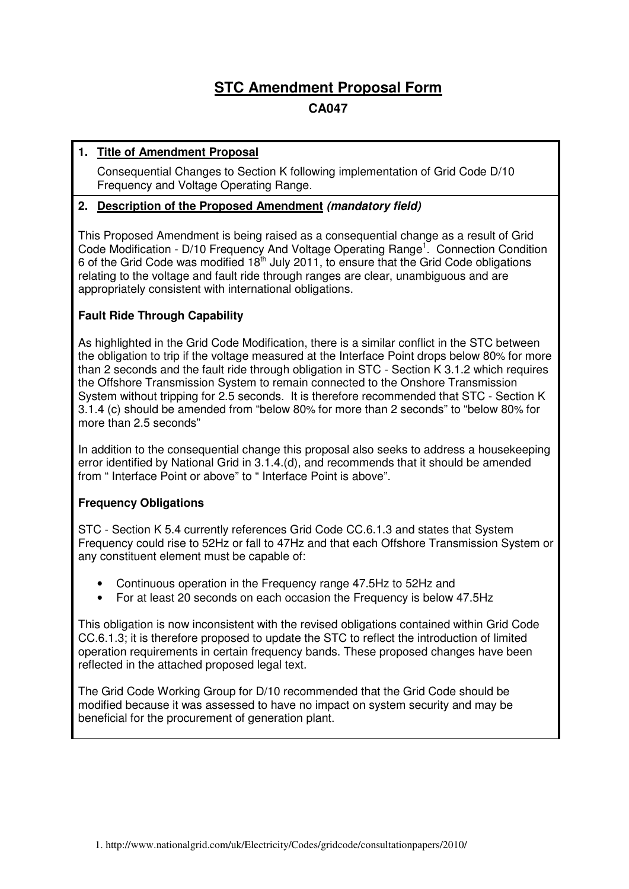# **STC Amendment Proposal Form**

# **CA047**

# **1. Title of Amendment Proposal**

Consequential Changes to Section K following implementation of Grid Code D/10 Frequency and Voltage Operating Range.

### **2. Description of the Proposed Amendment (mandatory field)**

This Proposed Amendment is being raised as a consequential change as a result of Grid Code Modification - D/10 Frequency And Voltage Operating Range<sup>1</sup>. Connection Condition 6 of the Grid Code was modified  $18<sup>th</sup>$  July 2011, to ensure that the Grid Code obligations relating to the voltage and fault ride through ranges are clear, unambiguous and are appropriately consistent with international obligations.

### **Fault Ride Through Capability**

As highlighted in the Grid Code Modification, there is a similar conflict in the STC between the obligation to trip if the voltage measured at the Interface Point drops below 80% for more than 2 seconds and the fault ride through obligation in STC - Section K 3.1.2 which requires the Offshore Transmission System to remain connected to the Onshore Transmission System without tripping for 2.5 seconds. It is therefore recommended that STC - Section K 3.1.4 (c) should be amended from "below 80% for more than 2 seconds" to "below 80% for more than 2.5 seconds"

In addition to the consequential change this proposal also seeks to address a housekeeping error identified by National Grid in 3.1.4.(d), and recommends that it should be amended from " Interface Point or above" to " Interface Point is above".

### **Frequency Obligations**

STC - Section K 5.4 currently references Grid Code CC.6.1.3 and states that System Frequency could rise to 52Hz or fall to 47Hz and that each Offshore Transmission System or any constituent element must be capable of:

- Continuous operation in the Frequency range 47.5Hz to 52Hz and
- For at least 20 seconds on each occasion the Frequency is below 47.5Hz

This obligation is now inconsistent with the revised obligations contained within Grid Code CC.6.1.3; it is therefore proposed to update the STC to reflect the introduction of limited operation requirements in certain frequency bands. These proposed changes have been reflected in the attached proposed legal text.

The Grid Code Working Group for D/10 recommended that the Grid Code should be modified because it was assessed to have no impact on system security and may be beneficial for the procurement of generation plant.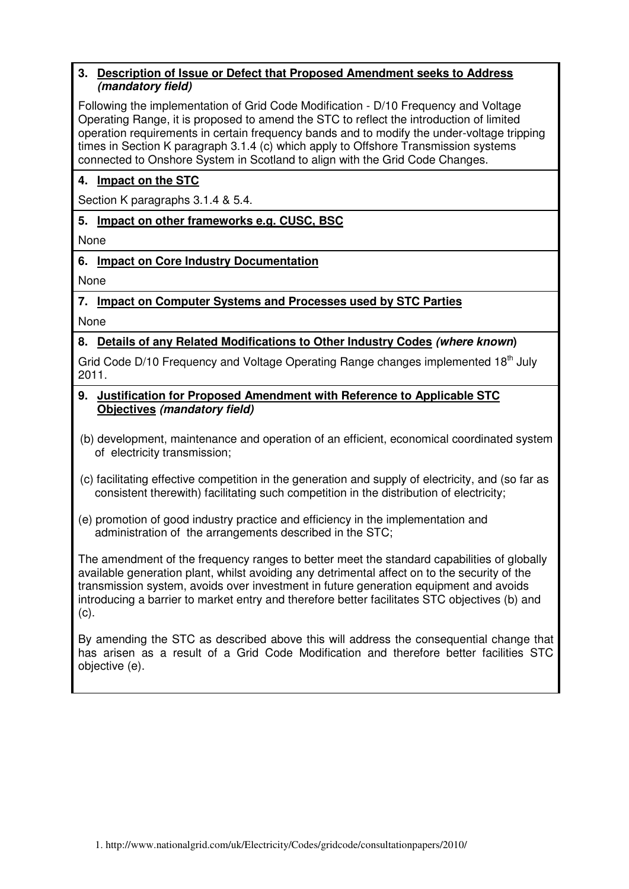#### **3. Description of Issue or Defect that Proposed Amendment seeks to Address (mandatory field)**

Following the implementation of Grid Code Modification - D/10 Frequency and Voltage Operating Range, it is proposed to amend the STC to reflect the introduction of limited operation requirements in certain frequency bands and to modify the under-voltage tripping times in Section K paragraph 3.1.4 (c) which apply to Offshore Transmission systems connected to Onshore System in Scotland to align with the Grid Code Changes.

# **4. Impact on the STC**

Section K paragraphs 3.1.4 & 5.4.

**5. Impact on other frameworks e.g. CUSC, BSC** 

None

**6. Impact on Core Industry Documentation** 

None

### **7. Impact on Computer Systems and Processes used by STC Parties**

None

# **8. Details of any Related Modifications to Other Industry Codes (where known)**

Grid Code D/10 Frequency and Voltage Operating Range changes implemented 18<sup>th</sup> July 2011.

- **9. Justification for Proposed Amendment with Reference to Applicable STC Objectives (mandatory field)**
- (b) development, maintenance and operation of an efficient, economical coordinated system of electricity transmission;
- (c) facilitating effective competition in the generation and supply of electricity, and (so far as consistent therewith) facilitating such competition in the distribution of electricity;
- (e) promotion of good industry practice and efficiency in the implementation and administration of the arrangements described in the STC;

The amendment of the frequency ranges to better meet the standard capabilities of globally available generation plant, whilst avoiding any detrimental affect on to the security of the transmission system, avoids over investment in future generation equipment and avoids introducing a barrier to market entry and therefore better facilitates STC objectives (b) and (c).

By amending the STC as described above this will address the consequential change that has arisen as a result of a Grid Code Modification and therefore better facilities STC objective (e).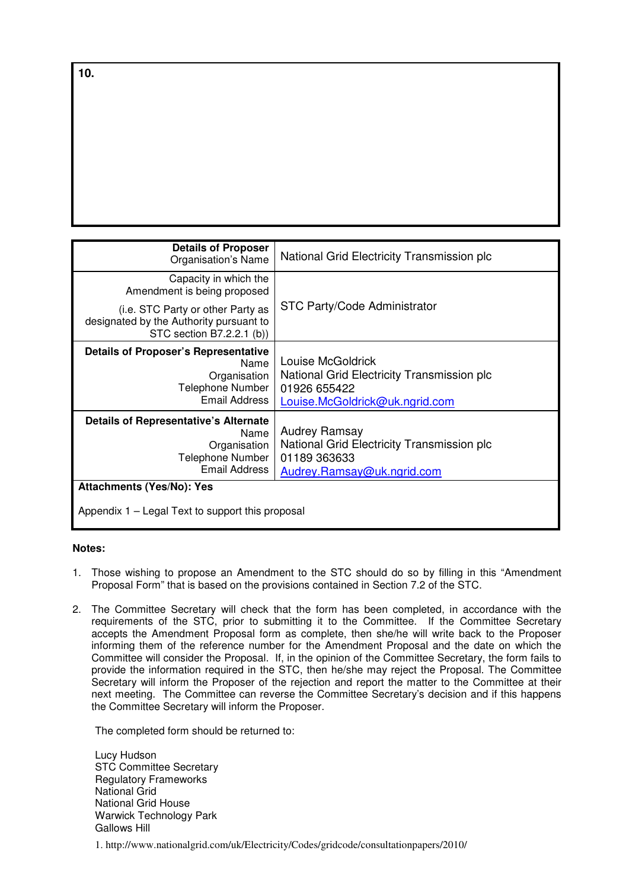| <b>Details of Proposer</b><br>Organisation's Name                                                                | National Grid Electricity Transmission plc                                                                        |
|------------------------------------------------------------------------------------------------------------------|-------------------------------------------------------------------------------------------------------------------|
| Capacity in which the<br>Amendment is being proposed                                                             |                                                                                                                   |
| (i.e. STC Party or other Party as<br>designated by the Authority pursuant to<br>STC section B7.2.2.1 (b))        | STC Party/Code Administrator                                                                                      |
| <b>Details of Proposer's Representative</b><br>Name<br>Organisation<br>Telephone Number<br>Email Address         | Louise McGoldrick<br>National Grid Electricity Transmission plc<br>01926 655422<br>Louise.McGoldrick@uk.ngrid.com |
| <b>Details of Representative's Alternate</b><br>Name<br>Organisation<br>Telephone Number<br><b>Email Address</b> | <b>Audrey Ramsay</b><br>National Grid Electricity Transmission plc<br>01189 363633<br>Audrey.Ramsay@uk.ngrid.com  |
| <b>Attachments (Yes/No): Yes</b>                                                                                 |                                                                                                                   |
| Appendix 1 – Legal Text to support this proposal                                                                 |                                                                                                                   |

#### **Notes:**

- 1. Those wishing to propose an Amendment to the STC should do so by filling in this "Amendment Proposal Form" that is based on the provisions contained in Section 7.2 of the STC.
- 2. The Committee Secretary will check that the form has been completed, in accordance with the requirements of the STC, prior to submitting it to the Committee. If the Committee Secretary accepts the Amendment Proposal form as complete, then she/he will write back to the Proposer informing them of the reference number for the Amendment Proposal and the date on which the Committee will consider the Proposal. If, in the opinion of the Committee Secretary, the form fails to provide the information required in the STC, then he/she may reject the Proposal. The Committee Secretary will inform the Proposer of the rejection and report the matter to the Committee at their next meeting. The Committee can reverse the Committee Secretary's decision and if this happens the Committee Secretary will inform the Proposer.

The completed form should be returned to:

Lucy Hudson STC Committee Secretary Regulatory Frameworks National Grid National Grid House Warwick Technology Park Gallows Hill

1. http://www.nationalgrid.com/uk/Electricity/Codes/gridcode/consultationpapers/2010/

**10.**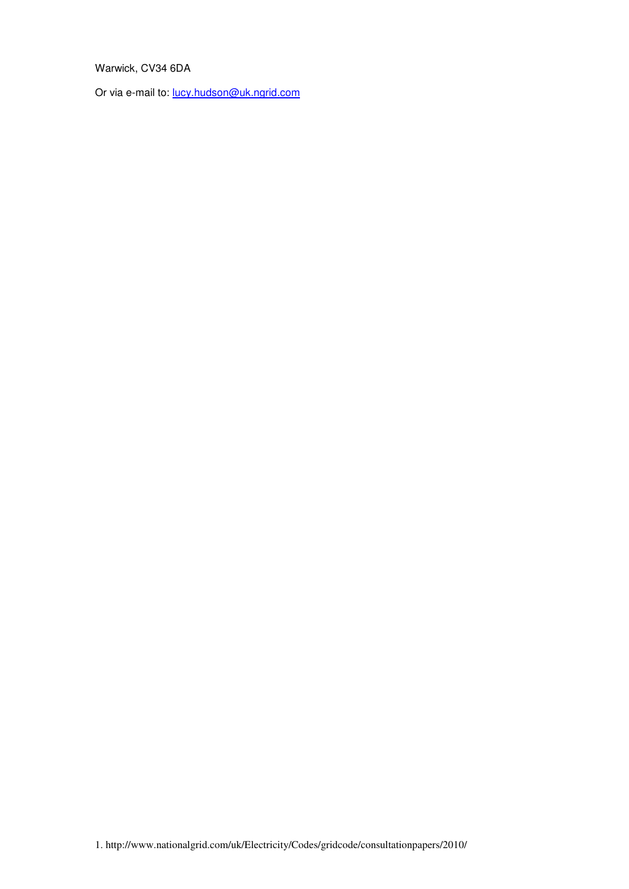# Warwick, CV34 6DA

Or via e-mail to: lucy.hudson@uk.ngrid.com